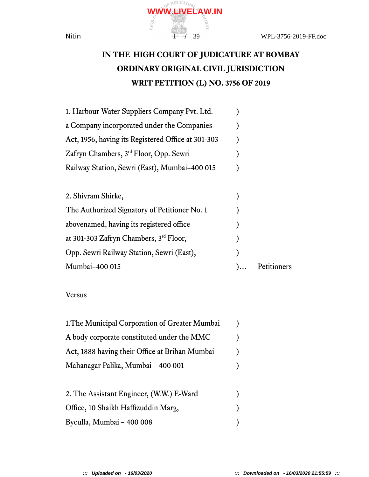

# **IN THE HIGH COURT OF JUDICATURE AT BOMBAY ORDINARY ORIGINAL CIVIL JURISDICTION WRIT PETITION (L) NO. 3756 OF 2019**

| 1. Harbour Water Suppliers Company Pvt. Ltd.       |  |
|----------------------------------------------------|--|
| a Company incorporated under the Companies         |  |
| Act, 1956, having its Registered Office at 301-303 |  |
| Zafryn Chambers, 3 <sup>rd</sup> Floor, Opp. Sewri |  |
| Railway Station, Sewri (East), Mumbai-400 015      |  |

| 2. Shivram Shirke,                           |            |             |
|----------------------------------------------|------------|-------------|
| The Authorized Signatory of Petitioner No. 1 |            |             |
| abovenamed, having its registered office     |            |             |
| at 301-303 Zafryn Chambers, $3rd$ Floor,     |            |             |
| Opp. Sewri Railway Station, Sewri (East),    |            |             |
| Mumbai-400 015                               | $) \ldots$ | Petitioners |

## Versus

| 1. The Municipal Corporation of Greater Mumbai |  |
|------------------------------------------------|--|
| A body corporate constituted under the MMC     |  |
| Act, 1888 having their Office at Brihan Mumbai |  |
| Mahanagar Palika, Mumbai - 400 001             |  |
|                                                |  |

| 2. The Assistant Engineer, (W.W.) E-Ward |  |
|------------------------------------------|--|
| Office, 10 Shaikh Haffizuddin Marg,      |  |
| Byculla, Mumbai – 400 008                |  |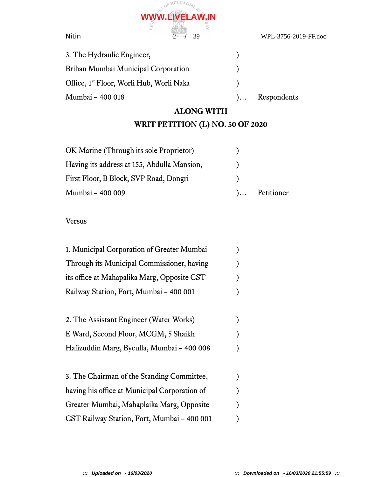

| 3. The Hydraulic Engineer,                           |  |
|------------------------------------------------------|--|
| Brihan Mumbai Municipal Corporation                  |  |
| Office, 1 <sup>st</sup> Floor, Worli Hub, Worli Naka |  |
| Mumbai - 400 018                                     |  |

)… Respondents

# **ALONG WITH**

# **WRIT PETITION (L) NO. 50 OF 2020**

| OK Marine (Through its sole Proprietor)     |              |
|---------------------------------------------|--------------|
| Having its address at 155, Abdulla Mansion, |              |
| First Floor, B Block, SVP Road, Dongri      |              |
| Mumbai - 400 009                            | ) Petitioner |

Versus

| 1. Municipal Corporation of Greater Mumbai  |  |
|---------------------------------------------|--|
| Through its Municipal Commissioner, having  |  |
| its office at Mahapalika Marg, Opposite CST |  |
| Railway Station, Fort, Mumbai - 400 001     |  |

| 2. The Assistant Engineer (Water Works)    |  |
|--------------------------------------------|--|
| E Ward, Second Floor, MCGM, 5 Shaikh       |  |
| Hafizuddin Marg, Byculla, Mumbai - 400 008 |  |

| 3. The Chairman of the Standing Committee,    |  |
|-----------------------------------------------|--|
| having his office at Municipal Corporation of |  |
| Greater Mumbai, Mahaplaika Marg, Opposite     |  |
| CST Railway Station, Fort, Mumbai - 400 001   |  |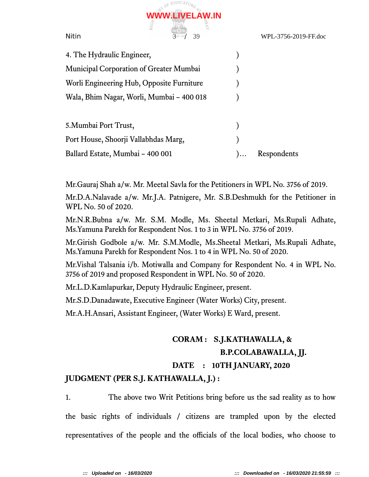

| 4. The Hydraulic Engineer,                     |             |
|------------------------------------------------|-------------|
| <b>Municipal Corporation of Greater Mumbai</b> |             |
| Worli Engineering Hub, Opposite Furniture      |             |
| Wala, Bhim Nagar, Worli, Mumbai - 400 018      |             |
| 5. Mumbai Port Trust,                          |             |
| Port House, Shoorji Vallabhdas Marg,           |             |
| Ballard Estate, Mumbai - 400 001               | Respondents |

Mr.Gauraj Shah a/w. Mr. Meetal Savla for the Petitioners in WPL No. 3756 of 2019.

Mr.D.A.Nalavade a/w. Mr.J.A. Patnigere, Mr. S.B.Deshmukh for the Petitioner in WPL No. 50 of 2020.

Mr.N.R.Bubna a/w. Mr. S.M. Modle, Ms. Sheetal Metkari, Ms.Rupali Adhate, Ms.Yamuna Parekh for Respondent Nos. 1 to 3 in WPL No. 3756 of 2019.

Mr.Girish Godbole a/w. Mr. S.M.Modle, Ms.Sheetal Metkari, Ms.Rupali Adhate, Ms.Yamuna Parekh for Respondent Nos. 1 to 4 in WPL No. 50 of 2020.

Mr.Vishal Talsania i/b. Motiwalla and Company for Respondent No. 4 in WPL No. 3756 of 2019 and proposed Respondent in WPL No. 50 of 2020.

Mr.L.D.Kamlapurkar, Deputy Hydraulic Engineer, present.

Mr.S.D.Danadawate, Executive Engineer (Water Works) City, present.

Mr.A.H.Ansari, Assistant Engineer, (Water Works) E Ward, present.

# **CORAM : S.J.KATHAWALLA, & B.P.COLABAWALLA, JJ. DATE : 10TH JANUARY, 2020 JUDGMENT (PER S.J. KATHAWALLA, J.) :**

1. The above two Writ Petitions bring before us the sad reality as to how the basic rights of individuals / citizens are trampled upon by the elected representatives of the people and the officials of the local bodies, who choose to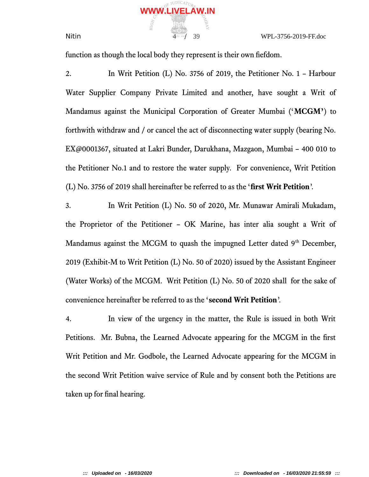

function as though the local body they represent is their own fiefdom.

**WWW.LIVELAW.IN**

2. In Writ Petition (L) No. 3756 of 2019, the Petitioner No. 1 – Harbour Water Supplier Company Private Limited and another, have sought a Writ of Mandamus against the Municipal Corporation of Greater Mumbai ('**MCGM'**) to forthwith withdraw and / or cancel the act of disconnecting water supply (bearing No. EX@0001367, situated at Lakri Bunder, Darukhana, Mazgaon, Mumbai – 400 010 to the Petitioner No.1 and to restore the water supply. For convenience, Writ Petition (L) No. 3756 of 2019 shall hereinafter be referred to as the 'first Writ Petition'.

3. In Writ Petition (L) No. 50 of 2020, Mr. Munawar Amirali Mukadam, the Proprietor of the Petitioner – OK Marine, has inter alia sought a Writ of Mandamus against the MCGM to quash the impugned Letter dated 9<sup>th</sup> December, 2019 (Exhibit-M to Writ Petition (L) No. 50 of 2020) issued by the Assistant Engineer (Water Works) of the MCGM. Writ Petition (L) No. 50 of 2020 shall for the sake of convenience hereinafter be referred to as the 'second Writ Petition'.

4. In view of the urgency in the matter, the Rule is issued in both Writ Petitions. Mr. Bubna, the Learned Advocate appearing for the MCGM in the first Writ Petition and Mr. Godbole, the Learned Advocate appearing for the MCGM in the second Writ Petition waive service of Rule and by consent both the Petitions are taken up for final hearing.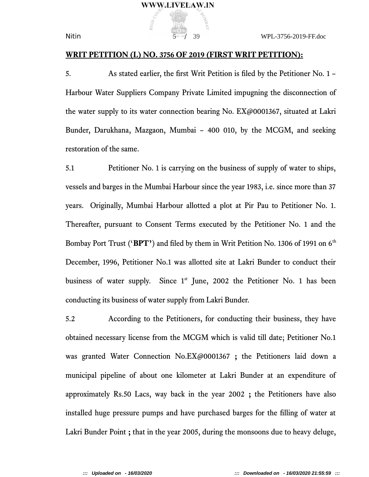### **WRIT PETITION (L) NO. 3756 OF 2019 (FIRST WRIT PETITION):**

5. As stated earlier, the first Writ Petition is filed by the Petitioner No. 1 – Harbour Water Suppliers Company Private Limited impugning the disconnection of the water supply to its water connection bearing No. EX@0001367, situated at Lakri Bunder, Darukhana, Mazgaon, Mumbai – 400 010, by the MCGM, and seeking restoration of the same.

5.1 Petitioner No. 1 is carrying on the business of supply of water to ships, vessels and barges in the Mumbai Harbour since the year 1983, i.e. since more than 37 years. Originally, Mumbai Harbour allotted a plot at Pir Pau to Petitioner No. 1. Thereafter, pursuant to Consent Terms executed by the Petitioner No. 1 and the Bombay Port Trust (**'BPT'**) and filed by them in Writ Petition No. 1306 of 1991 on 6<sup>th</sup> December, 1996, Petitioner No.1 was allotted site at Lakri Bunder to conduct their business of water supply. Since  $1<sup>st</sup>$  June, 2002 the Petitioner No. 1 has been conducting its business of water supply from Lakri Bunder.

5.2 According to the Petitioners, for conducting their business, they have obtained necessary license from the MCGM which is valid till date; Petitioner No.1 was granted Water Connection No.EX@0001367 **;** the Petitioners laid down a municipal pipeline of about one kilometer at Lakri Bunder at an expenditure of approximately Rs.50 Lacs, way back in the year 2002 **;** the Petitioners have also installed huge pressure pumps and have purchased barges for the filling of water at Lakri Bunder Point **;** that in the year 2005, during the monsoons due to heavy deluge,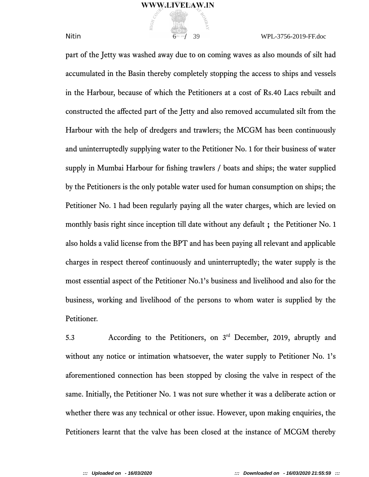**Nitin** 6 **6 / 39** WPL-3756-2019-FF.doc

part of the Jetty was washed away due to on coming waves as also mounds of silt had accumulated in the Basin thereby completely stopping the access to ships and vessels in the Harbour, because of which the Petitioners at a cost of Rs.40 Lacs rebuilt and constructed the afected part of the Jetty and also removed accumulated silt from the Harbour with the help of dredgers and trawlers; the MCGM has been continuously and uninterruptedly supplying water to the Petitioner No. 1 for their business of water supply in Mumbai Harbour for fishing trawlers / boats and ships; the water supplied by the Petitioners is the only potable water used for human consumption on ships; the Petitioner No. 1 had been regularly paying all the water charges, which are levied on monthly basis right since inception till date without any default **;** the Petitioner No. 1 also holds a valid license from the BPT and has been paying all relevant and applicable charges in respect thereof continuously and uninterruptedly; the water supply is the most essential aspect of the Petitioner No.1's business and livelihood and also for the business, working and livelihood of the persons to whom water is supplied by the Petitioner.

5.3 According to the Petitioners, on 3rd December, 2019, abruptly and without any notice or intimation whatsoever, the water supply to Petitioner No. 1's aforementioned connection has been stopped by closing the valve in respect of the same. Initially, the Petitioner No. 1 was not sure whether it was a deliberate action or whether there was any technical or other issue. However, upon making enquiries, the Petitioners learnt that the valve has been closed at the instance of MCGM thereby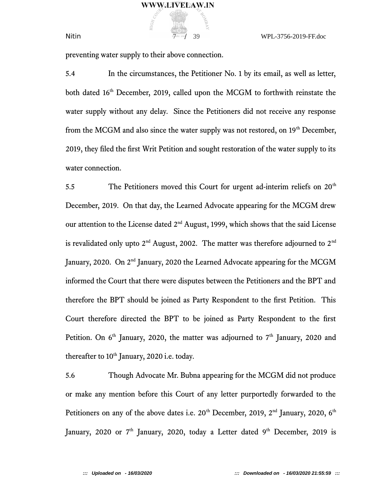$N$ itin  $N$ Please  $\frac{1}{2}$  39 WPL-3756-2019-FF.doc

preventing water supply to their above connection.

5.4 In the circumstances, the Petitioner No. 1 by its email, as well as letter, both dated 16<sup>th</sup> December, 2019, called upon the MCGM to forthwith reinstate the water supply without any delay. Since the Petitioners did not receive any response from the MCGM and also since the water supply was not restored, on 19<sup>th</sup> December, 2019, they filed the first Writ Petition and sought restoration of the water supply to its water connection.

5.5 The Petitioners moved this Court for urgent ad-interim reliefs on 20<sup>th</sup> December, 2019. On that day, the Learned Advocate appearing for the MCGM drew our attention to the License dated 2<sup>nd</sup> August, 1999, which shows that the said License is revalidated only upto  $2<sup>nd</sup>$  August, 2002. The matter was therefore adjourned to  $2<sup>nd</sup>$ January, 2020. On 2<sup>nd</sup> January, 2020 the Learned Advocate appearing for the MCGM informed the Court that there were disputes between the Petitioners and the BPT and therefore the BPT should be joined as Party Respondent to the first Petition. This Court therefore directed the BPT to be joined as Party Respondent to the first Petition. On  $6<sup>th</sup>$  January, 2020, the matter was adjourned to  $7<sup>th</sup>$  January, 2020 and thereafter to 10<sup>th</sup> January, 2020 i.e. today.

5.6 Though Advocate Mr. Bubna appearing for the MCGM did not produce or make any mention before this Court of any letter purportedly forwarded to the Petitioners on any of the above dates i.e.  $20<sup>th</sup>$  December, 2019,  $2<sup>nd</sup>$  January, 2020,  $6<sup>th</sup>$ January, 2020 or 7<sup>th</sup> January, 2020, today a Letter dated 9<sup>th</sup> December, 2019 is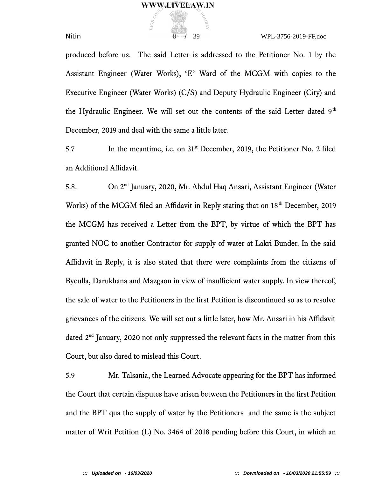**Nitin** 8 / 39 WPL-3756-2019-FF.doc

produced before us. The said Letter is addressed to the Petitioner No. 1 by the Assistant Engineer (Water Works), 'E' Ward of the MCGM with copies to the Executive Engineer (Water Works) (C/S) and Deputy Hydraulic Engineer (City) and the Hydraulic Engineer. We will set out the contents of the said Letter dated  $9<sup>th</sup>$ December, 2019 and deal with the same a little later.

5.7 In the meantime, i.e. on 31st December, 2019, the Petitioner No. 2 filed an Additional Affidavit.

5.8. On 2nd January, 2020, Mr. Abdul Haq Ansari, Assistant Engineer (Water Works) of the MCGM filed an Affidavit in Reply stating that on 18<sup>th</sup> December, 2019 the MCGM has received a Letter from the BPT, by virtue of which the BPT has granted NOC to another Contractor for supply of water at Lakri Bunder. In the said Afdavit in Reply, it is also stated that there were complaints from the citizens of Byculla, Darukhana and Mazgaon in view of insufficient water supply. In view thereof, the sale of water to the Petitioners in the first Petition is discontinued so as to resolve grievances of the citizens. We will set out a little later, how Mr. Ansari in his Afdavit dated 2<sup>nd</sup> January, 2020 not only suppressed the relevant facts in the matter from this Court, but also dared to mislead this Court.

5.9 Mr. Talsania, the Learned Advocate appearing for the BPT has informed the Court that certain disputes have arisen between the Petitioners in the first Petition and the BPT qua the supply of water by the Petitioners and the same is the subject matter of Writ Petition (L) No. 3464 of 2018 pending before this Court, in which an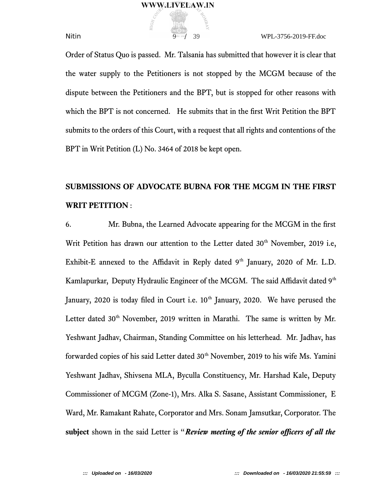$\overline{9}$  and  $\overline{9}$  and  $\overline{9}$  39 WPL-3756-2019-FF.doc

Order of Status Quo is passed. Mr. Talsania has submitted that however it is clear that the water supply to the Petitioners is not stopped by the MCGM because of the dispute between the Petitioners and the BPT, but is stopped for other reasons with which the BPT is not concerned. He submits that in the first Writ Petition the BPT submits to the orders of this Court, with a request that all rights and contentions of the BPT in Writ Petition (L) No. 3464 of 2018 be kept open.

# **SUBMISSIONS OF ADVOCATE BUBNA FOR THE MCGM IN THE FIRST WRIT PETITION** :

6. Mr. Bubna, the Learned Advocate appearing for the MCGM in the first Writ Petition has drawn our attention to the Letter dated 30<sup>th</sup> November, 2019 i.e, Exhibit-E annexed to the Affidavit in Reply dated  $9<sup>th</sup>$  January, 2020 of Mr. L.D. Kamlapurkar, Deputy Hydraulic Engineer of the MCGM. The said Affidavit dated  $9<sup>th</sup>$ January, 2020 is today filed in Court i.e. 10<sup>th</sup> January, 2020. We have perused the Letter dated 30<sup>th</sup> November, 2019 written in Marathi. The same is written by Mr. Yeshwant Jadhav, Chairman, Standing Committee on his letterhead. Mr. Jadhav, has forwarded copies of his said Letter dated 30<sup>th</sup> November, 2019 to his wife Ms. Yamini Yeshwant Jadhav, Shivsena MLA, Byculla Constituency, Mr. Harshad Kale, Deputy Commissioner of MCGM (Zone-1), Mrs. Alka S. Sasane, Assistant Commissioner, E Ward, Mr. Ramakant Rahate, Corporator and Mrs. Sonam Jamsutkar, Corporator. The subject shown in the said Letter is "*Review meeting of the senior officers of all the*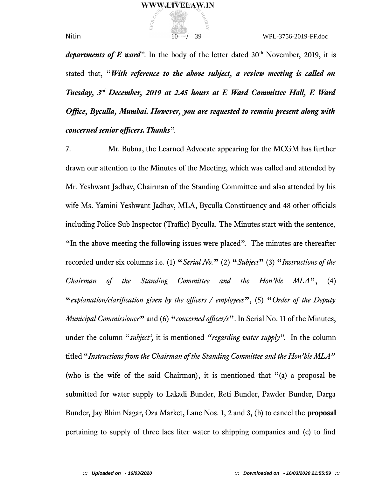*departments of E ward*". In the body of the letter dated  $30<sup>th</sup>$  November, 2019, it is stated that, "*With reference to the above subject, a review meeting is called on Tuesday, 3rd Defember, 2019 at 2.45 hours at E Ward Committee Hall, E Ward Office, Byculla, Mumbai. However, you are requested to remain present along with <i>concerned senior officers. Thanks*".

7. Mr. Bubna, the Learned Advocate appearing for the MCGM has further drawn our attention to the Minutes of the Meeting, which was called and attended by Mr. Yeshwant Jadhav, Chairman of the Standing Committee and also attended by his wife Ms. Yamini Yeshwant Jadhav, MLA, Byculla Constituency and 48 other officials including Police Sub Inspector (Traffic) Byculla. The Minutes start with the sentence, "In the above meeting the following issues were placed". The minutes are thereafter recorded under six columns i.e. (1) **"***Serial No.***"** (2) **"***Subject***"** (3) **"***Instructions of the Chairman of the Standing Committee and the Hon'ble MLA***"**, (4) **"***explanation/clarification given by the officers / employees*", (5) "Order of the Deputy *Municipal Commissioner*<sup>"</sup> and (6) "*concerned officer/s*". In Serial No. 11 of the Minutes, under the column "*subject',* it is mentioned *"regarding water supply*". In the column titled "*Instructions from the Chairman of the Standing Committee and the Hon'ble MLA"* (who is the wife of the said Chairman), it is mentioned that "(a) a proposal be submitted for water supply to Lakadi Bunder, Reti Bunder, Pawder Bunder, Darga Bunder, Jay Bhim Nagar, Oza Market, Lane Nos. 1, 2 and 3, (b) to cancel the **proposal** pertaining to supply of three lacs liter water to shipping companies and (c) to find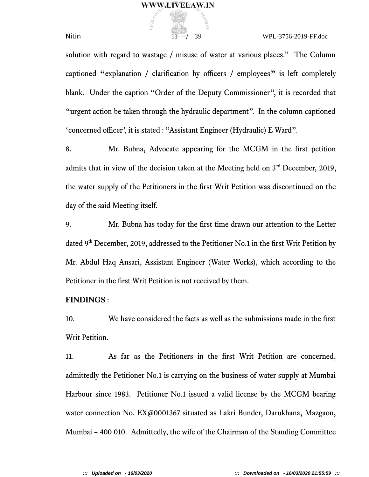$\frac{1}{11}$  and  $\frac{1}{11}$  and  $\frac{1}{11}$  and  $\frac{1}{11}$  39 WPL-3756-2019-FF.doc

solution with regard to wastage / misuse of water at various places." The Column captioned "explanation / clarification by officers / employees" is left completely blank. Under the caption "Order of the Deputy Commissioner", it is recorded that "urgent action be taken through the hydraulic department". In the column captioned 'concerned officer', it is stated : "Assistant Engineer (Hydraulic) E Ward".

8. Mr. Bubna, Advocate appearing for the MCGM in the first petition admits that in view of the decision taken at the Meeting held on  $3<sup>rd</sup>$  December, 2019, the water supply of the Petitioners in the first Writ Petition was discontinued on the day of the said Meeting itself.

9. Mr. Bubna has today for the first time drawn our attention to the Letter dated  $9<sup>th</sup>$  December, 2019, addressed to the Petitioner No.1 in the first Writ Petition by Mr. Abdul Haq Ansari, Assistant Engineer (Water Works), which according to the Petitioner in the first Writ Petition is not received by them.

### **FINDINGS** :

10. We have considered the facts as well as the submissions made in the first Writ Petition.

11. As far as the Petitioners in the first Writ Petition are concerned, admittedly the Petitioner No.1 is carrying on the business of water supply at Mumbai Harbour since 1983. Petitioner No.1 issued a valid license by the MCGM bearing water connection No. EX@0001367 situated as Lakri Bunder, Darukhana, Mazgaon, Mumbai – 400 010. Admittedly, the wife of the Chairman of the Standing Committee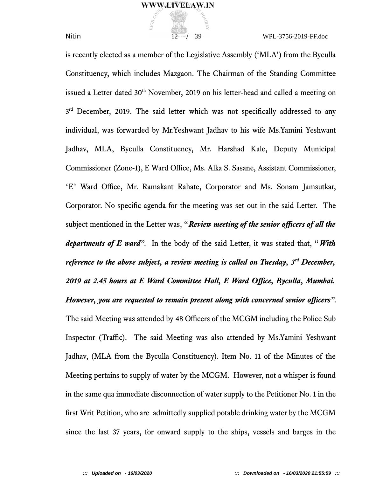$\frac{1}{2^{\alpha \text{ such}}}$  39 WPL-3756-2019-FF.doc

is recently elected as a member of the Legislative Assembly ('MLA') from the Byculla Constituency, which includes Mazgaon. The Chairman of the Standing Committee issued a Letter dated 30<sup>th</sup> November, 2019 on his letter-head and called a meeting on 3<sup>rd</sup> December, 2019. The said letter which was not specifically addressed to any individual, was forwarded by Mr.Yeshwant Jadhav to his wife Ms.Yamini Yeshwant Jadhav, MLA, Byculla Constituency, Mr. Harshad Kale, Deputy Municipal Commissioner (Zone-1), E Ward Office, Ms. Alka S. Sasane, Assistant Commissioner, 'E' Ward Office, Mr. Ramakant Rahate, Corporator and Ms. Sonam Jamsutkar, Corporator. No specific agenda for the meeting was set out in the said Letter. The subject mentioned in the Letter was, "*Review meeting of the senior officers of all the departments of E ward*". In the body of the said Letter, it was stated that, "*With reference to the above subject, a review meeting is called on Tuesday, 3<sup>rd</sup> December,* 2019 at 2.45 hours at E Ward Committee Hall, E Ward Office, Byculla, Mumbai. *However, you are requested to remain present along with concerned senior officers*". The said Meeting was attended by 48 Officers of the MCGM including the Police Sub Inspector (Traffic). The said Meeting was also attended by Ms.Yamini Yeshwant Jadhav, (MLA from the Byculla Constituency). Item No. 11 of the Minutes of the Meeting pertains to supply of water by the MCGM. However, not a whisper is found in the same qua immediate disconnection of water supply to the Petitioner No. 1 in the first Writ Petition, who are admittedly supplied potable drinking water by the MCGM since the last 37 years, for onward supply to the ships, vessels and barges in the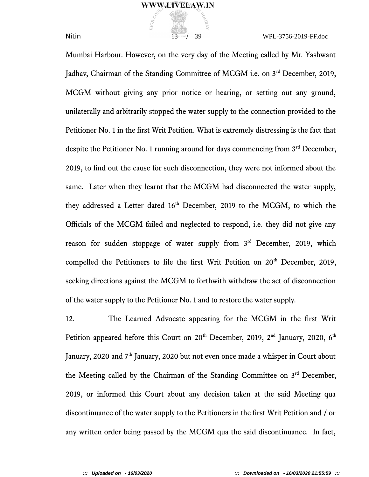$\frac{13^{\frac{3}{4}}}{13}$  39 WPL-3756-2019-FF.doc

Mumbai Harbour. However, on the very day of the Meeting called by Mr. Yashwant Jadhav, Chairman of the Standing Committee of MCGM i.e. on 3<sup>rd</sup> December, 2019, MCGM without giving any prior notice or hearing, or setting out any ground, unilaterally and arbitrarily stopped the water supply to the connection provided to the Petitioner No. 1 in the first Writ Petition. What is extremely distressing is the fact that despite the Petitioner No. 1 running around for days commencing from 3<sup>rd</sup> December, 2019, to find out the cause for such disconnection, they were not informed about the same. Later when they learnt that the MCGM had disconnected the water supply, they addressed a Letter dated 16<sup>th</sup> December, 2019 to the MCGM, to which the Officials of the MCGM failed and neglected to respond, i.e. they did not give any reason for sudden stoppage of water supply from 3<sup>rd</sup> December, 2019, which compelled the Petitioners to file the first Writ Petition on 20<sup>th</sup> December, 2019, seeking directions against the MCGM to forthwith withdraw the act of disconnection of the water supply to the Petitioner No. 1 and to restore the water supply.

12. The Learned Advocate appearing for the MCGM in the first Writ Petition appeared before this Court on  $20<sup>th</sup>$  December, 2019,  $2<sup>nd</sup>$  January, 2020,  $6<sup>th</sup>$ January, 2020 and  $7<sup>th</sup>$  January, 2020 but not even once made a whisper in Court about the Meeting called by the Chairman of the Standing Committee on 3<sup>rd</sup> December, 2019, or informed this Court about any decision taken at the said Meeting qua discontinuance of the water supply to the Petitioners in the first Writ Petition and / or any written order being passed by the MCGM qua the said discontinuance. In fact,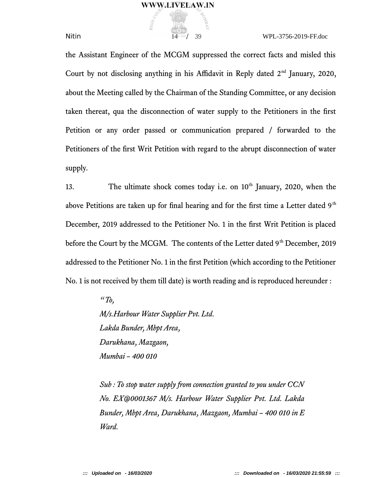$\frac{1}{4}$   $\frac{1}{4}$   $\frac{39}{4}$   $\frac{1}{4}$   $\frac{1}{4}$   $\frac{1}{4}$   $\frac{1}{4}$   $\frac{1}{4}$   $\frac{1}{4}$   $\frac{1}{4}$   $\frac{1}{4}$   $\frac{1}{4}$   $\frac{1}{4}$   $\frac{1}{4}$   $\frac{1}{4}$   $\frac{1}{4}$   $\frac{1}{4}$   $\frac{1}{4}$   $\frac{1}{4}$   $\frac{1}{4}$   $\frac{1}{4}$   $\frac{1}{4}$ 

the Assistant Engineer of the MCGM suppressed the correct facts and misled this Court by not disclosing anything in his Affidavit in Reply dated  $2<sup>nd</sup>$  January, 2020, about the Meeting called by the Chairman of the Standing Committee, or any decision taken thereat, qua the disconnection of water supply to the Petitioners in the first Petition or any order passed or communication prepared / forwarded to the Petitioners of the first Writ Petition with regard to the abrupt disconnection of water supply.

13. The ultimate shock comes today i.e. on 10<sup>th</sup> January, 2020, when the above Petitions are taken up for final hearing and for the first time a Letter dated  $9<sup>th</sup>$ December, 2019 addressed to the Petitioner No. 1 in the first Writ Petition is placed before the Court by the MCGM. The contents of the Letter dated 9<sup>th</sup> December, 2019 addressed to the Petitioner No. 1 in the first Petition (which according to the Petitioner No. 1 is not received by them till date) is worth reading and is reproduced hereunder :

> *"To, M/s.Harbour Water Supplier Pvt. Ltd. Lakda Bunder, Mbpt Area, Darukhana, Mazgaon, Mumbai – 400 010*

*Sub : To stop water supply from connection granted to you under CCN No. EX@0001367 M/s. Harbour Water Supplier Pvt. Ltd. Lakda Bunder, Mbpt Area, Darukhana, Mazgaon, Mumbai – 400 010 in E Ward.*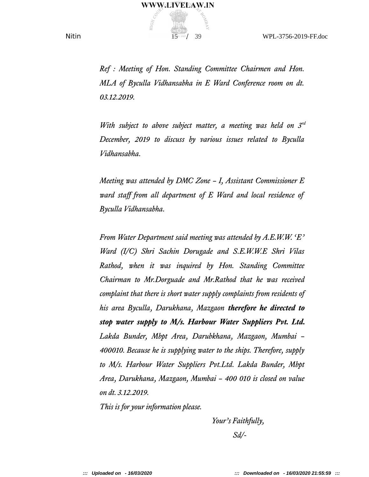

*Ref : Meeting of Hon. Standing Committee Chairmen and Hon. MLA of Byculla Vidhansabha in E Ward Conference room on dt. 03.12.2019.*

*With subject to above subject matter, a meeting was held on 3rd December, 2019 to discuss by various issues related to Byculla Vidhansabha.*

*Meeting was attended by DMC Zone – I, Assistant Commissioner E ward staf from all department of E Ward and local residence of Byculla Vidhansabha.*

*From Water Department said meeting was attended by A.E.W.W. 'E' Ward (I/C) Shri Sachin Dorugade and S.E.W.W.E Shri Vilas Rathod, when it was inquired by Hon. Standing Committee Chairman to Mr.Dorguade and Mr.Rathod that he was received complaint that there is short water supply complaints from residents of* his area Byculla, Darukhana, Mazgaon **therefore he directed to** *stop water supply to M/s. Harbour Water Suppliers Pvt. Ltd. Lakda Bunder, Mbpt Area, Darubkhana, Mazgaon, Mumbai – 400010. Because he is supplying water to the ships. Therefore, supply to M/s. Harbour Water Suppliers Pvt.Ltd. Lakda Bunder, Mbpt Area, Darukhana, Mazgaon, Mumbai – 400 010 is closed on value on dt. 3.12.2019.*

*This is for your information please.*

*Your's Faithfully,*

*Sd/-*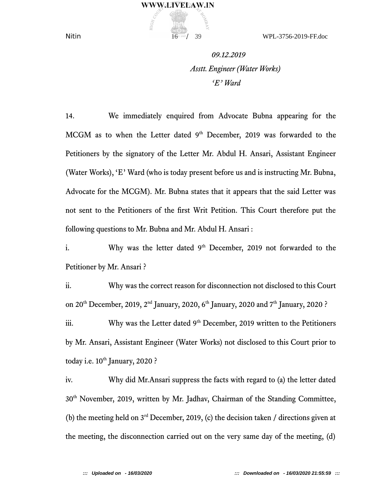**Nitin** 16 16 16 16 39 WPL-3756-2019-FF.doc

# *09.12.2019 Asstt. Engineer (Water Works) 'E' Ward*

14. We immediately enquired from Advocate Bubna appearing for the MCGM as to when the Letter dated 9<sup>th</sup> December, 2019 was forwarded to the Petitioners by the signatory of the Letter Mr. Abdul H. Ansari, Assistant Engineer (Water Works), 'E' Ward (who is today present before us and is instructing Mr. Bubna, Advocate for the MCGM). Mr. Bubna states that it appears that the said Letter was not sent to the Petitioners of the first Writ Petition. This Court therefore put the following questions to Mr. Bubna and Mr. Abdul H. Ansari :

WWW.LIVELAW.IN

i. Why was the letter dated 9<sup>th</sup> December, 2019 not forwarded to the Petitioner by Mr. Ansari ?

ii. Why was the correct reason for disconnection not disclosed to this Court on 20<sup>th</sup> December, 2019, 2<sup>nd</sup> January, 2020, 6<sup>th</sup> January, 2020 and 7<sup>th</sup> January, 2020 ?

iii. Why was the Letter dated  $9<sup>th</sup>$  December, 2019 written to the Petitioners by Mr. Ansari, Assistant Engineer (Water Works) not disclosed to this Court prior to today i.e.  $10^{th}$  January, 2020 ?

iv. Why did Mr.Ansari suppress the facts with regard to (a) the letter dated 30<sup>th</sup> November, 2019, written by Mr. Jadhav, Chairman of the Standing Committee, (b) the meeting held on  $3<sup>rd</sup>$  December, 2019, (c) the decision taken / directions given at the meeting, the disconnection carried out on the very same day of the meeting, (d)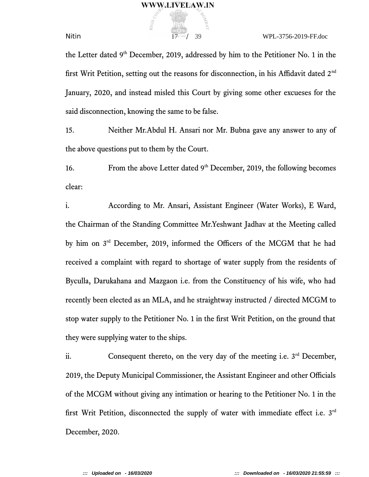the Letter dated 9<sup>th</sup> December, 2019, addressed by him to the Petitioner No. 1 in the first Writ Petition, setting out the reasons for disconnection, in his Affidavit dated  $2<sup>nd</sup>$ January, 2020, and instead misled this Court by giving some other excueses for the said disconnection, knowing the same to be false.

15. Neither Mr.Abdul H. Ansari nor Mr. Bubna gave any answer to any of the above questions put to them by the Court.

16. From the above Letter dated 9<sup>th</sup> December, 2019, the following becomes clear:

i. According to Mr. Ansari, Assistant Engineer (Water Works), E Ward, the Chairman of the Standing Committee Mr.Yeshwant Jadhav at the Meeting called by him on  $3<sup>rd</sup>$  December, 2019, informed the Officers of the MCGM that he had received a complaint with regard to shortage of water supply from the residents of Byculla, Darukahana and Mazgaon i.e. from the Constituency of his wife, who had recently been elected as an MLA, and he straightway instructed / directed MCGM to stop water supply to the Petitioner No. 1 in the first Writ Petition, on the ground that they were supplying water to the ships.

ii. Consequent thereto, on the very day of the meeting i.e.  $3<sup>rd</sup>$  December, 2019, the Deputy Municipal Commissioner, the Assistant Engineer and other Officials of the MCGM without giving any intimation or hearing to the Petitioner No. 1 in the first Writ Petition, disconnected the supply of water with immediate effect i.e. 3<sup>rd</sup> December, 2020.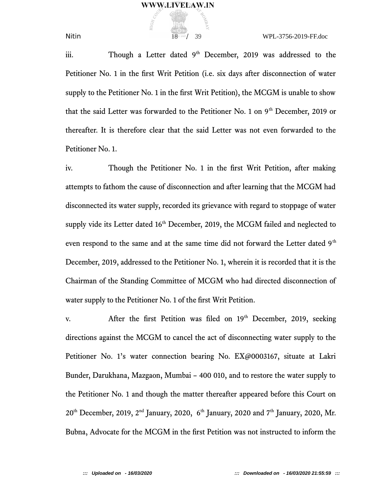**Nitin** 18 18 / 39 WPL-3756-2019-FF.doc

iii. Though a Letter dated 9<sup>th</sup> December, 2019 was addressed to the Petitioner No. 1 in the first Writ Petition (i.e. six days after disconnection of water supply to the Petitioner No. 1 in the first Writ Petition), the MCGM is unable to show that the said Letter was forwarded to the Petitioner No. 1 on 9<sup>th</sup> December, 2019 or thereafter. It is therefore clear that the said Letter was not even forwarded to the Petitioner No. 1.

iv. Though the Petitioner No. 1 in the first Writ Petition, after making attempts to fathom the cause of disconnection and after learning that the MCGM had disconnected its water supply, recorded its grievance with regard to stoppage of water supply vide its Letter dated 16<sup>th</sup> December, 2019, the MCGM failed and neglected to even respond to the same and at the same time did not forward the Letter dated  $9<sup>th</sup>$ December, 2019, addressed to the Petitioner No. 1, wherein it is recorded that it is the Chairman of the Standing Committee of MCGM who had directed disconnection of water supply to the Petitioner No. 1 of the first Writ Petition.

v. After the first Petition was filed on 19<sup>th</sup> December, 2019, seeking directions against the MCGM to cancel the act of disconnecting water supply to the Petitioner No. 1's water connection bearing No. EX@0003167, situate at Lakri Bunder, Darukhana, Mazgaon, Mumbai – 400 010, and to restore the water supply to the Petitioner No. 1 and though the matter thereafter appeared before this Court on  $20<sup>th</sup>$  December, 2019,  $2<sup>nd</sup>$  January, 2020, 6<sup>th</sup> January, 2020 and 7<sup>th</sup> January, 2020, Mr. Bubna, Advocate for the MCGM in the first Petition was not instructed to inform the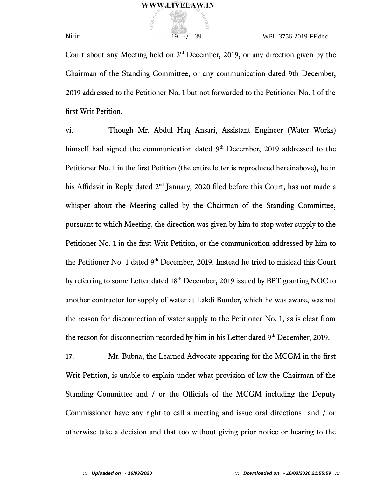$\frac{19}{4}$  39 WPL-3756-2019-FF.doc

Court about any Meeting held on  $3<sup>rd</sup>$  December, 2019, or any direction given by the Chairman of the Standing Committee, or any communication dated 9th December, 2019 addressed to the Petitioner No. 1 but not forwarded to the Petitioner No. 1 of the first Writ Petition.

vi. Though Mr. Abdul Haq Ansari, Assistant Engineer (Water Works) himself had signed the communication dated 9<sup>th</sup> December, 2019 addressed to the Petitioner No. 1 in the first Petition (the entire letter is reproduced hereinabove), he in his Affidavit in Reply dated 2<sup>nd</sup> January, 2020 filed before this Court, has not made a whisper about the Meeting called by the Chairman of the Standing Committee, pursuant to which Meeting, the direction was given by him to stop water supply to the Petitioner No. 1 in the first Writ Petition, or the communication addressed by him to the Petitioner No. 1 dated 9<sup>th</sup> December, 2019. Instead he tried to mislead this Court by referring to some Letter dated 18<sup>th</sup> December, 2019 issued by BPT granting NOC to another contractor for supply of water at Lakdi Bunder, which he was aware, was not the reason for disconnection of water supply to the Petitioner No. 1, as is clear from the reason for disconnection recorded by him in his Letter dated 9<sup>th</sup> December, 2019.

17. Mr. Bubna, the Learned Advocate appearing for the MCGM in the first Writ Petition, is unable to explain under what provision of law the Chairman of the Standing Committee and / or the Officials of the MCGM including the Deputy Commissioner have any right to call a meeting and issue oral directions and / or otherwise take a decision and that too without giving prior notice or hearing to the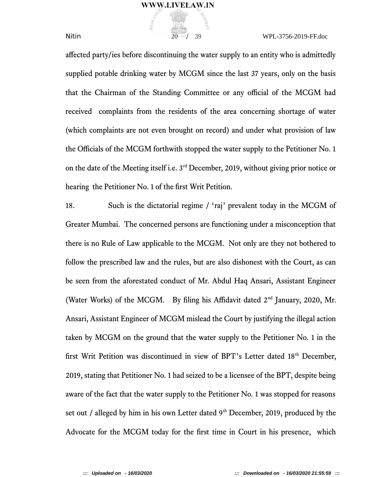$\frac{1}{20}$  and  $\frac{1}{20}$  and  $\frac{1}{20}$  39 WPL-3756-2019-FF.doc

afected party/ies before discontinuing the water supply to an entity who is admittedly supplied potable drinking water by MCGM since the last 37 years, only on the basis that the Chairman of the Standing Committee or any official of the MCGM had received complaints from the residents of the area concerning shortage of water (which complaints are not even brought on record) and under what provision of law the Officials of the MCGM forthwith stopped the water supply to the Petitioner No. 1 on the date of the Meeting itself i.e. 3rd December, 2019, without giving prior notice or hearing the Petitioner No. 1 of the first Writ Petition.

18. Such is the dictatorial regime / 'raj' prevalent today in the MCGM of Greater Mumbai. The concerned persons are functioning under a misconception that there is no Rule of Law applicable to the MCGM. Not only are they not bothered to follow the prescribed law and the rules, but are also dishonest with the Court, as can be seen from the aforestated conduct of Mr. Abdul Haq Ansari, Assistant Engineer (Water Works) of the MCGM. By filing his Affidavit dated 2<sup>nd</sup> January, 2020, Mr. Ansari, Assistant Engineer of MCGM mislead the Court by justifying the illegal action taken by MCGM on the ground that the water supply to the Petitioner No. 1 in the first Writ Petition was discontinued in view of BPT's Letter dated  $18<sup>th</sup>$  December, 2019, stating that Petitioner No. 1 had seized to be a licensee of the BPT, despite being aware of the fact that the water supply to the Petitioner No. 1 was stopped for reasons set out / alleged by him in his own Letter dated  $9<sup>th</sup>$  December, 2019, produced by the Advocate for the MCGM today for the first time in Court in his presence, which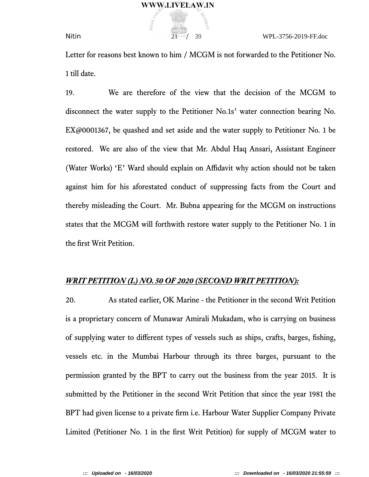$\frac{1}{21}$  and  $\frac{1}{21}$  and  $\frac{1}{21}$  39 WPL-3756-2019-FF.doc

Letter for reasons best known to him / MCGM is not forwarded to the Petitioner No. 1 till date.

19. We are therefore of the view that the decision of the MCGM to disconnect the water supply to the Petitioner No.1s' water connection bearing No. EX@0001367, be quashed and set aside and the water supply to Petitioner No. 1 be restored. We are also of the view that Mr. Abdul Haq Ansari, Assistant Engineer (Water Works) 'E' Ward should explain on Affidavit why action should not be taken against him for his aforestated conduct of suppressing facts from the Court and thereby misleading the Court. Mr. Bubna appearing for the MCGM on instructions states that the MCGM will forthwith restore water supply to the Petitioner No. 1 in the first Writ Petition.

### *WRIT PETITION (L) NO. 50 OF 2020 (SECOND WRIT PETITION):*

20. As stated earlier, OK Marine - the Petitioner in the second Writ Petition is a proprietary concern of Munawar Amirali Mukadam, who is carrying on business of supplying water to diferent types of vessels such as ships, crafts, barges, fishing, vessels etc. in the Mumbai Harbour through its three barges, pursuant to the permission granted by the BPT to carry out the business from the year 2015. It is submitted by the Petitioner in the second Writ Petition that since the year 1981 the BPT had given license to a private firm i.e. Harbour Water Supplier Company Private Limited (Petitioner No. 1 in the first Writ Petition) for supply of MCGM water to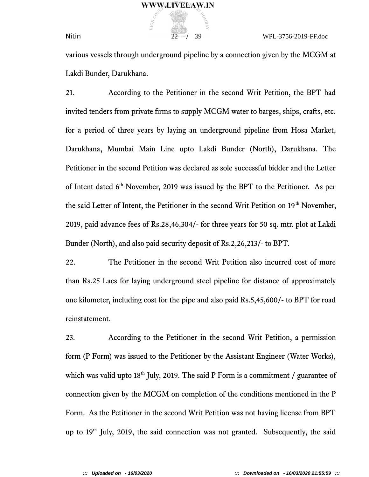#### $22^{\frac{1}{\alpha}}$  29 WPL-3756-2019-FF.doc

various vessels through underground pipeline by a connection given by the MCGM at Lakdi Bunder, Darukhana.

21. According to the Petitioner in the second Writ Petition, the BPT had invited tenders from private firms to supply MCGM water to barges, ships, crafts, etc. for a period of three years by laying an underground pipeline from Hosa Market, Darukhana, Mumbai Main Line upto Lakdi Bunder (North), Darukhana. The Petitioner in the second Petition was declared as sole successful bidder and the Letter of Intent dated  $6<sup>th</sup>$  November, 2019 was issued by the BPT to the Petitioner. As per the said Letter of Intent, the Petitioner in the second Writ Petition on 19<sup>th</sup> November, 2019, paid advance fees of Rs.28,46,304/- for three years for 50 sq. mtr. plot at Lakdi Bunder (North), and also paid security deposit of Rs.2,26,213/- to BPT.

22. The Petitioner in the second Writ Petition also incurred cost of more than Rs.25 Lacs for laying underground steel pipeline for distance of approximately one kilometer, including cost for the pipe and also paid Rs.5,45,600/- to BPT for road reinstatement.

23. According to the Petitioner in the second Writ Petition, a permission form (P Form) was issued to the Petitioner by the Assistant Engineer (Water Works), which was valid upto  $18<sup>th</sup>$  July, 2019. The said P Form is a commitment / guarantee of connection given by the MCGM on completion of the conditions mentioned in the P Form. As the Petitioner in the second Writ Petition was not having license from BPT up to 19<sup>th</sup> July, 2019, the said connection was not granted. Subsequently, the said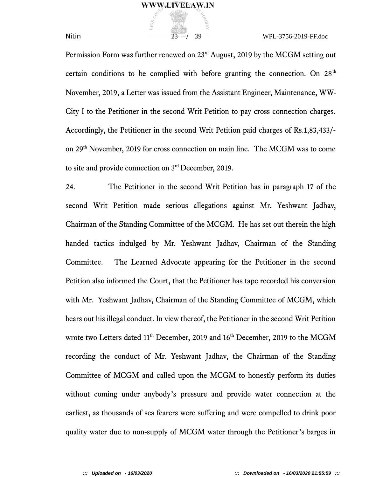Permission Form was further renewed on 23<sup>rd</sup> August, 2019 by the MCGM setting out certain conditions to be complied with before granting the connection. On  $28<sup>th</sup>$ November, 2019, a Letter was issued from the Assistant Engineer, Maintenance, WW-City I to the Petitioner in the second Writ Petition to pay cross connection charges. Accordingly, the Petitioner in the second Writ Petition paid charges of Rs.1,83,433/ on 29th November, 2019 for cross connection on main line. The MCGM was to come to site and provide connection on 3rd December, 2019.

24. The Petitioner in the second Writ Petition has in paragraph 17 of the second Writ Petition made serious allegations against Mr. Yeshwant Jadhav, Chairman of the Standing Committee of the MCGM. He has set out therein the high handed tactics indulged by Mr. Yeshwant Jadhav, Chairman of the Standing Committee. The Learned Advocate appearing for the Petitioner in the second Petition also informed the Court, that the Petitioner has tape recorded his conversion with Mr. Yeshwant Jadhav, Chairman of the Standing Committee of MCGM, which bears out his illegal conduct. In view thereof, the Petitioner in the second Writ Petition wrote two Letters dated 11<sup>th</sup> December, 2019 and 16<sup>th</sup> December, 2019 to the MCGM recording the conduct of Mr. Yeshwant Jadhav, the Chairman of the Standing Committee of MCGM and called upon the MCGM to honestly perform its duties without coming under anybody's pressure and provide water connection at the earliest, as thousands of sea fearers were sufering and were compelled to drink poor quality water due to non-supply of MCGM water through the Petitioner's barges in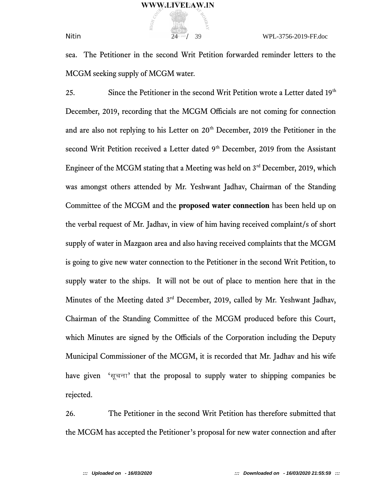$24 \rightarrow 24 \rightarrow 39$  WPL-3756-2019-FF.doc

sea. The Petitioner in the second Writ Petition forwarded reminder letters to the MCGM seeking supply of MCGM water.

25. Since the Petitioner in the second Writ Petition wrote a Letter dated  $19<sup>th</sup>$ December, 2019, recording that the MCGM Officials are not coming for connection and are also not replying to his Letter on 20<sup>th</sup> December, 2019 the Petitioner in the second Writ Petition received a Letter dated 9<sup>th</sup> December, 2019 from the Assistant Engineer of the MCGM stating that a Meeting was held on  $3<sup>rd</sup>$  December, 2019, which was amongst others attended by Mr. Yeshwant Jadhav, Chairman of the Standing Committee of the MCGM and the **proposed water connection** has been held up on the verbal request of Mr. Jadhav, in view of him having received complaint/s of short supply of water in Mazgaon area and also having received complaints that the MCGM is going to give new water connection to the Petitioner in the second Writ Petition, to supply water to the ships. It will not be out of place to mention here that in the Minutes of the Meeting dated 3rd December, 2019, called by Mr. Yeshwant Jadhav, Chairman of the Standing Committee of the MCGM produced before this Court, which Minutes are signed by the Officials of the Corporation including the Deputy Municipal Commissioner of the MCGM, it is recorded that Mr. Jadhav and his wife have given 'सूचना' that the proposal to supply water to shipping companies be rejected.

26. The Petitioner in the second Writ Petition has therefore submitted that the MCGM has accepted the Petitioner's proposal for new water connection and after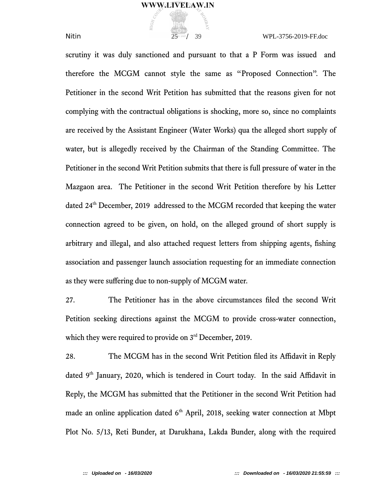$25^{\circ}$   $39$  WPL-3756-2019-FF.doc

scrutiny it was duly sanctioned and pursuant to that a P Form was issued and therefore the MCGM cannot style the same as "Proposed Connection". The Petitioner in the second Writ Petition has submitted that the reasons given for not complying with the contractual obligations is shocking, more so, since no complaints are received by the Assistant Engineer (Water Works) qua the alleged short supply of water, but is allegedly received by the Chairman of the Standing Committee. The Petitioner in the second Writ Petition submits that there is full pressure of water in the Mazgaon area. The Petitioner in the second Writ Petition therefore by his Letter dated 24<sup>th</sup> December, 2019 addressed to the MCGM recorded that keeping the water connection agreed to be given, on hold, on the alleged ground of short supply is arbitrary and illegal, and also attached request letters from shipping agents, fishing association and passenger launch association requesting for an immediate connection as they were sufering due to non-supply of MCGM water.

27. The Petitioner has in the above circumstances filed the second Writ Petition seeking directions against the MCGM to provide cross-water connection, which they were required to provide on 3<sup>rd</sup> December, 2019.

28. The MCGM has in the second Writ Petition filed its Affidavit in Reply dated 9<sup>th</sup> January, 2020, which is tendered in Court today. In the said Affidavit in Reply, the MCGM has submitted that the Petitioner in the second Writ Petition had made an online application dated 6<sup>th</sup> April, 2018, seeking water connection at Mbpt Plot No. 5/13, Reti Bunder, at Darukhana, Lakda Bunder, along with the required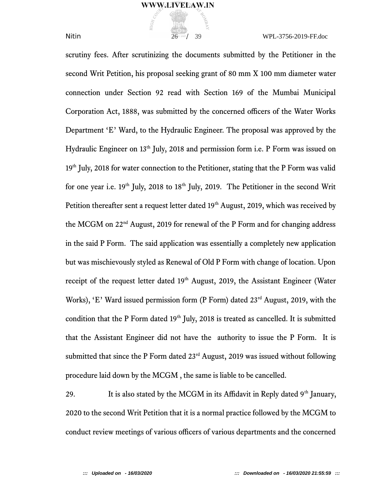**Nitin 26**  $\frac{26}{9}$  **39 WPL-3756-2019-FF.doc** 

scrutiny fees. After scrutinizing the documents submitted by the Petitioner in the second Writ Petition, his proposal seeking grant of 80 mm X 100 mm diameter water connection under Section 92 read with Section 169 of the Mumbai Municipal Corporation Act, 1888, was submitted by the concerned officers of the Water Works Department 'E' Ward, to the Hydraulic Engineer. The proposal was approved by the Hydraulic Engineer on 13<sup>th</sup> July, 2018 and permission form i.e. P Form was issued on 19<sup>th</sup> July, 2018 for water connection to the Petitioner, stating that the P Form was valid for one year i.e.  $19<sup>th</sup>$  July, 2018 to  $18<sup>th</sup>$  July, 2019. The Petitioner in the second Writ Petition thereafter sent a request letter dated 19<sup>th</sup> August, 2019, which was received by the MCGM on 22<sup>nd</sup> August, 2019 for renewal of the P Form and for changing address in the said P Form. The said application was essentially a completely new application but was mischievously styled as Renewal of Old P Form with change of location. Upon receipt of the request letter dated 19<sup>th</sup> August, 2019, the Assistant Engineer (Water Works), 'E' Ward issued permission form (P Form) dated 23<sup>rd</sup> August, 2019, with the condition that the P Form dated 19<sup>th</sup> July, 2018 is treated as cancelled. It is submitted that the Assistant Engineer did not have the authority to issue the P Form. It is submitted that since the P Form dated 23<sup>rd</sup> August, 2019 was issued without following procedure laid down by the MCGM , the same is liable to be cancelled.

29. It is also stated by the MCGM in its Affidavit in Reply dated  $9<sup>th</sup>$  January, 2020 to the second Writ Petition that it is a normal practice followed by the MCGM to conduct review meetings of various officers of various departments and the concerned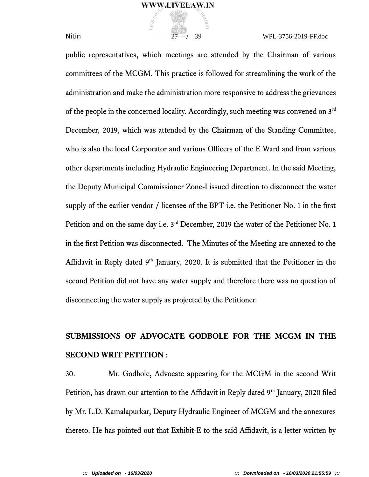**Nitin** 27 and 27 and 39 WPL-3756-2019-FF.doc

public representatives, which meetings are attended by the Chairman of various committees of the MCGM. This practice is followed for streamlining the work of the administration and make the administration more responsive to address the grievances of the people in the concerned locality. Accordingly, such meeting was convened on 3<sup>rd</sup> December, 2019, which was attended by the Chairman of the Standing Committee, who is also the local Corporator and various Officers of the E Ward and from various other departments including Hydraulic Engineering Department. In the said Meeting, the Deputy Municipal Commissioner Zone-I issued direction to disconnect the water supply of the earlier vendor / licensee of the BPT i.e. the Petitioner No. 1 in the first Petition and on the same day i.e. 3<sup>rd</sup> December, 2019 the water of the Petitioner No. 1 in the first Petition was disconnected. The Minutes of the Meeting are annexed to the Affidavit in Reply dated  $9<sup>th</sup>$  January, 2020. It is submitted that the Petitioner in the second Petition did not have any water supply and therefore there was no question of disconnecting the water supply as projected by the Petitioner.

# **SUBMISSIONS OF ADVOCATE GODBOLE FOR THE MCGM IN THE SECOND WRIT PETITION** :

30. Mr. Godbole, Advocate appearing for the MCGM in the second Writ Petition, has drawn our attention to the Affidavit in Reply dated 9<sup>th</sup> January, 2020 filed by Mr. L.D. Kamalapurkar, Deputy Hydraulic Engineer of MCGM and the annexures thereto. He has pointed out that Exhibit-E to the said Affidavit, is a letter written by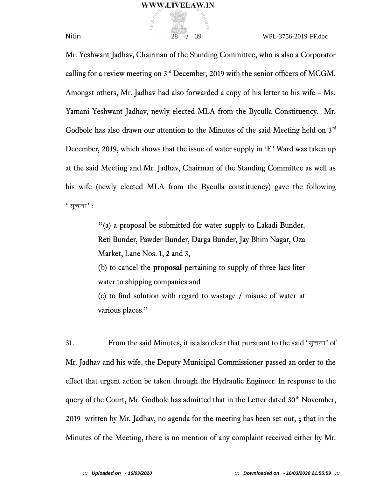### $\frac{1}{28^{\alpha \text{ such}}}$  39 WPL-3756-2019-FF.doc

Mr. Yeshwant Jadhav, Chairman of the Standing Committee, who is also a Corporator calling for a review meeting on  $3<sup>rd</sup>$  December, 2019 with the senior officers of MCGM. Amongst others, Mr. Jadhav had also forwarded a copy of his letter to his wife – Ms. Yamani Yeshwant Jadhav, newly elected MLA from the Byculla Constituency. Mr. Godbole has also drawn our attention to the Minutes of the said Meeting held on  $3<sup>rd</sup>$ December, 2019, which shows that the issue of water supply in 'E' Ward was taken up at the said Meeting and Mr. Jadhav, Chairman of the Standing Committee as well as his wife (newly elected MLA from the Byculla constituency) gave the following  $'$  सूचना $':$ 

> "(a) a proposal be submitted for water supply to Lakadi Bunder, Reti Bunder, Pawder Bunder, Darga Bunder, Jay Bhim Nagar, Oza Market, Lane Nos. 1, 2 and 3,

> (b) to cancel the **proposal** pertaining to supply of three lacs liter water to shipping companies and

> (c) to find solution with regard to wastage / misuse of water at various places."

31. From the said Minutes, it is also clear that pursuant to the said 'सूचना' of Mr. Jadhav and his wife, the Deputy Municipal Commissioner passed an order to the efect that urgent action be taken through the Hydraulic Engineer. In response to the query of the Court, Mr. Godbole has admitted that in the Letter dated 30<sup>th</sup> November, 2019 written by Mr. Jadhav, no agenda for the meeting has been set out, **;** that in the Minutes of the Meeting, there is no mention of any complaint received either by Mr.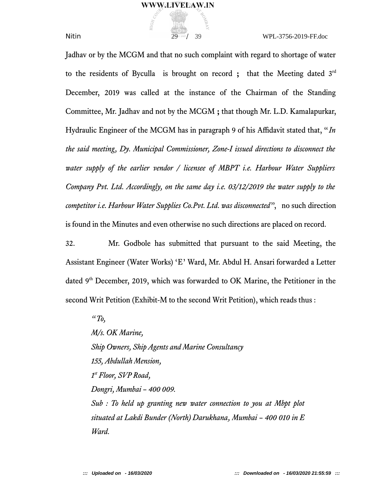$\frac{29}{4}$  39 WPL-3756-2019-FF.doc

Jadhav or by the MCGM and that no such complaint with regard to shortage of water to the residents of Byculla is brought on record **;** that the Meeting dated 3rd December, 2019 was called at the instance of the Chairman of the Standing Committee, Mr. Jadhav and not by the MCGM **;** that though Mr. L.D. Kamalapurkar, Hydraulic Engineer of the MCGM has in paragraph 9 of his Afdavit stated that, "*In the said meeting, Dy. Municipal Commissioner, Zone-I issued directions to disconnect the water supply of the earlier vendor / licensee of MBPT i.e. Harbour Water Suppliers Company Pvt. Ltd. Accordingly, on the same day i.e. 03/12/2019 the water supply to the competitor i.e. Harbour Water Supplies Co.Pvt. Ltd. was disconnected*", no such direction is found in the Minutes and even otherwise no such directions are placed on record.

32. Mr. Godbole has submitted that pursuant to the said Meeting, the Assistant Engineer (Water Works) 'E' Ward, Mr. Abdul H. Ansari forwarded a Letter dated 9<sup>th</sup> December, 2019, which was forwarded to OK Marine, the Petitioner in the second Writ Petition (Exhibit-M to the second Writ Petition), which reads thus :

*"To, M/s. OK Marine, Ship Owners, Ship Agents and Marine Consultancy 155, Abdullah Mension, 1 st Floor, SVP Road, Dongri, Mumbai – 400 009. Sub : To held up granting new water connection to you at Mbpt plot situated at Lakdi Bunder (North) Darukhana, Mumbai – 400 010 in E Ward.*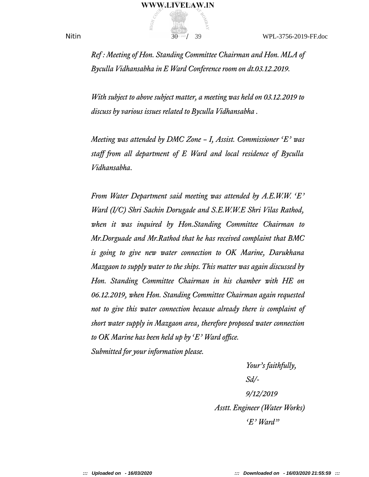*Ref : Meeting of Hon. Standing Committee Chairman and Hon. MLA of Byculla Vidhansabha in E Ward Conference room on dt.03.12.2019.*

*With subject to above subject matter, a meeting was held on 03.12.2019 to discuss by various issues related to Byculla Vidhansabha .*

*Meeting was attended by DMC Zone – I, Assist. Commissioner 'E' was* staff from all department of E Ward and local residence of Byculla *Vidhansabha.*

*From Water Department said meeting was attended by A.E.W.W. 'E' Ward (I/C) Shri Sachin Dorugade and S.E.W.W.E Shri Vilas Rathod, when it was inquired by Hon.Standing Committee Chairman to Mr.Dorguade and Mr.Rathod that he has received complaint that BMC is going to give new water connection to OK Marine, Darukhana Mazgaon to supply water to the ships. This matter was again discussed by Hon. Standing Committee Chairman in his chamber with HE on 06.12.2019, when Hon. Standing Committee Chairman again requested not to give this water connection because already there is complaint of short water supply in Mazgaon area, therefore proposed water connection to OK Marine has been held up by 'E' Ward office. Submitted for your information please.*

> *Your's faithfully, Sd/- 9/12/2019 Asstt. Engineer (Water Works) 'E' Ward"*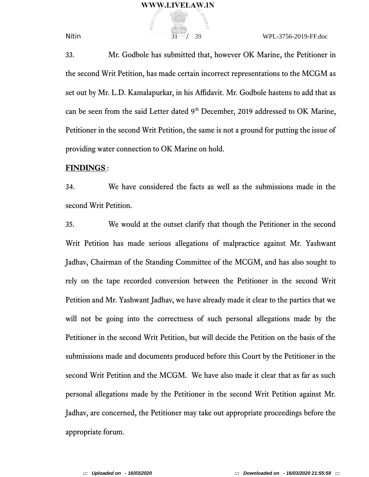**Nitin**  $31 \rightarrow 39$  WPL-3756-2019-FF.doc

33. Mr. Godbole has submitted that, however OK Marine, the Petitioner in the second Writ Petition, has made certain incorrect representations to the MCGM as set out by Mr. L.D. Kamalapurkar, in his Affidavit. Mr. Godbole hastens to add that as can be seen from the said Letter dated 9<sup>th</sup> December, 2019 addressed to OK Marine, Petitioner in the second Writ Petition, the same is not a ground for putting the issue of providing water connection to OK Marine on hold.

#### **FINDINGS** :

34. We have considered the facts as well as the submissions made in the second Writ Petition.

35. We would at the outset clarify that though the Petitioner in the second Writ Petition has made serious allegations of malpractice against Mr. Yashwant Jadhav, Chairman of the Standing Committee of the MCGM, and has also sought to rely on the tape recorded conversion between the Petitioner in the second Writ Petition and Mr. Yashwant Jadhav, we have already made it clear to the parties that we will not be going into the correctness of such personal allegations made by the Petitioner in the second Writ Petition, but will decide the Petition on the basis of the submissions made and documents produced before this Court by the Petitioner in the second Writ Petition and the MCGM. We have also made it clear that as far as such personal allegations made by the Petitioner in the second Writ Petition against Mr. Jadhav, are concerned, the Petitioner may take out appropriate proceedings before the appropriate forum.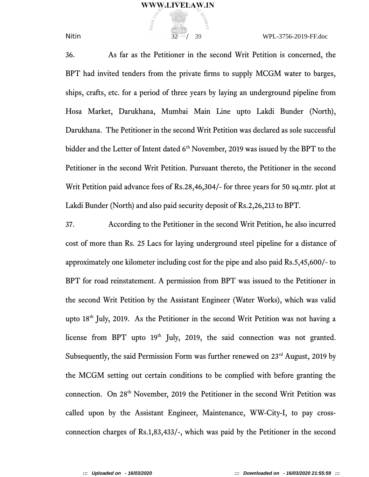$N$ itin  $32^{\frac{32}{4 \times 4}}$  39 WPL-3756-2019-FF.doc

36. As far as the Petitioner in the second Writ Petition is concerned, the BPT had invited tenders from the private firms to supply MCGM water to barges, ships, crafts, etc. for a period of three years by laying an underground pipeline from Hosa Market, Darukhana, Mumbai Main Line upto Lakdi Bunder (North), Darukhana. The Petitioner in the second Writ Petition was declared as sole successful bidder and the Letter of Intent dated  $6<sup>th</sup>$  November, 2019 was issued by the BPT to the Petitioner in the second Writ Petition. Pursuant thereto, the Petitioner in the second Writ Petition paid advance fees of Rs.28,46,304/- for three years for 50 sq.mtr. plot at Lakdi Bunder (North) and also paid security deposit of Rs.2,26,213 to BPT.

37. According to the Petitioner in the second Writ Petition, he also incurred cost of more than Rs. 25 Lacs for laying underground steel pipeline for a distance of approximately one kilometer including cost for the pipe and also paid Rs.5,45,600/- to BPT for road reinstatement. A permission from BPT was issued to the Petitioner in the second Writ Petition by the Assistant Engineer (Water Works), which was valid upto 18<sup>th</sup> July, 2019. As the Petitioner in the second Writ Petition was not having a license from BPT upto  $19<sup>th</sup>$  July, 2019, the said connection was not granted. Subsequently, the said Permission Form was further renewed on  $23<sup>rd</sup>$  August, 2019 by the MCGM setting out certain conditions to be complied with before granting the connection. On 28<sup>th</sup> November, 2019 the Petitioner in the second Writ Petition was called upon by the Assistant Engineer, Maintenance, WW-City-I, to pay crossconnection charges of Rs.1,83,433/-, which was paid by the Petitioner in the second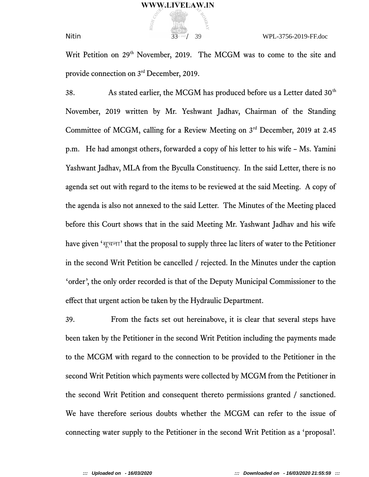Nitin 33 / 39 WPL-3756-2019-FF.doc

Writ Petition on 29<sup>th</sup> November, 2019. The MCGM was to come to the site and provide connection on 3rd December, 2019.

38. As stated earlier, the MCGM has produced before us a Letter dated  $30<sup>th</sup>$ November, 2019 written by Mr. Yeshwant Jadhav, Chairman of the Standing Committee of MCGM, calling for a Review Meeting on 3rd December, 2019 at 2.45 p.m. He had amongst others, forwarded a copy of his letter to his wife – Ms. Yamini Yashwant Jadhav, MLA from the Byculla Constituency. In the said Letter, there is no agenda set out with regard to the items to be reviewed at the said Meeting. A copy of the agenda is also not annexed to the said Letter. The Minutes of the Meeting placed before this Court shows that in the said Meeting Mr. Yashwant Jadhav and his wife have given 'सूचना' that the proposal to supply three lac liters of water to the Petitioner in the second Writ Petition be cancelled / rejected. In the Minutes under the caption 'order', the only order recorded is that of the Deputy Municipal Commissioner to the efect that urgent action be taken by the Hydraulic Department.

39. From the facts set out hereinabove, it is clear that several steps have been taken by the Petitioner in the second Writ Petition including the payments made to the MCGM with regard to the connection to be provided to the Petitioner in the second Writ Petition which payments were collected by MCGM from the Petitioner in the second Writ Petition and consequent thereto permissions granted / sanctioned. We have therefore serious doubts whether the MCGM can refer to the issue of connecting water supply to the Petitioner in the second Writ Petition as a 'proposal'.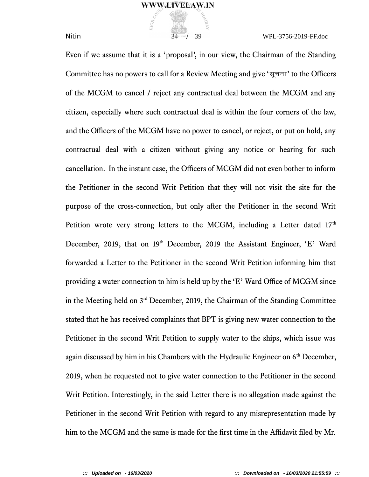**Nitin**  $\frac{34}{2}$  39 WPL-3756-2019-FF.doc

Even if we assume that it is a 'proposal', in our view, the Chairman of the Standing Committee has no powers to call for a Review Meeting and give ' $\eta \overline{a}$  and the Officers of the MCGM to cancel / reject any contractual deal between the MCGM and any citizen, especially where such contractual deal is within the four corners of the law, and the Officers of the MCGM have no power to cancel, or reject, or put on hold, any contractual deal with a citizen without giving any notice or hearing for such cancellation. In the instant case, the Officers of MCGM did not even bother to inform the Petitioner in the second Writ Petition that they will not visit the site for the purpose of the cross-connection, but only after the Petitioner in the second Writ Petition wrote very strong letters to the MCGM, including a Letter dated  $17<sup>th</sup>$ December, 2019, that on 19th December, 2019 the Assistant Engineer, 'E' Ward forwarded a Letter to the Petitioner in the second Writ Petition informing him that providing a water connection to him is held up by the 'E' Ward Office of MCGM since in the Meeting held on 3<sup>rd</sup> December, 2019, the Chairman of the Standing Committee stated that he has received complaints that BPT is giving new water connection to the Petitioner in the second Writ Petition to supply water to the ships, which issue was again discussed by him in his Chambers with the Hydraulic Engineer on 6<sup>th</sup> December, 2019, when he requested not to give water connection to the Petitioner in the second Writ Petition. Interestingly, in the said Letter there is no allegation made against the Petitioner in the second Writ Petition with regard to any misrepresentation made by him to the MCGM and the same is made for the first time in the Affidavit filed by Mr.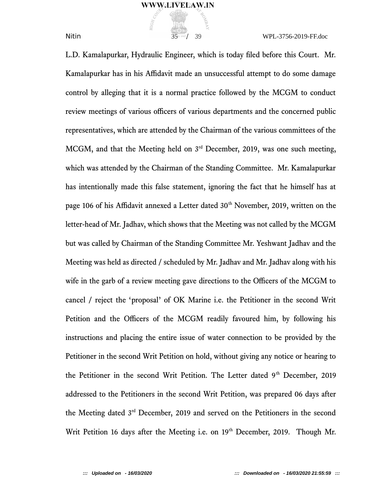$N$ itin  $35^{\frac{3}{4}}$  39 WPL-3756-2019-FF.doc

L.D. Kamalapurkar, Hydraulic Engineer, which is today filed before this Court. Mr. Kamalapurkar has in his Afdavit made an unsuccessful attempt to do some damage control by alleging that it is a normal practice followed by the MCGM to conduct review meetings of various officers of various departments and the concerned public representatives, which are attended by the Chairman of the various committees of the MCGM, and that the Meeting held on  $3<sup>rd</sup>$  December, 2019, was one such meeting, which was attended by the Chairman of the Standing Committee. Mr. Kamalapurkar has intentionally made this false statement, ignoring the fact that he himself has at page 106 of his Affidavit annexed a Letter dated 30<sup>th</sup> November, 2019, written on the letter-head of Mr. Jadhav, which shows that the Meeting was not called by the MCGM but was called by Chairman of the Standing Committee Mr. Yeshwant Jadhav and the Meeting was held as directed / scheduled by Mr. Jadhav and Mr. Jadhav along with his wife in the garb of a review meeting gave directions to the Officers of the MCGM to cancel / reject the 'proposal' of OK Marine i.e. the Petitioner in the second Writ Petition and the Officers of the MCGM readily favoured him, by following his instructions and placing the entire issue of water connection to be provided by the Petitioner in the second Writ Petition on hold, without giving any notice or hearing to the Petitioner in the second Writ Petition. The Letter dated 9<sup>th</sup> December, 2019 addressed to the Petitioners in the second Writ Petition, was prepared 06 days after the Meeting dated 3<sup>rd</sup> December, 2019 and served on the Petitioners in the second Writ Petition 16 days after the Meeting i.e. on 19<sup>th</sup> December, 2019. Though Mr.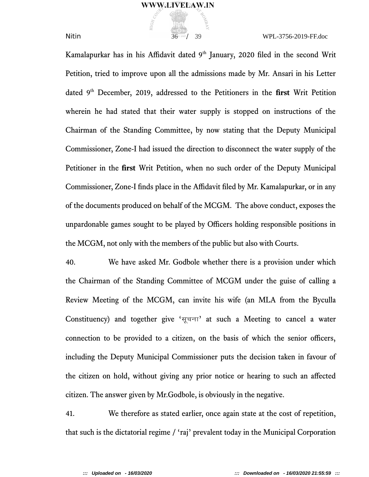$N$ itin  $\frac{36^{\circ} \text{ rad}}{39}$  39 WPL-3756-2019-FF.doc

Kamalapurkar has in his Affidavit dated  $9<sup>th</sup>$  January, 2020 filed in the second Writ Petition, tried to improve upon all the admissions made by Mr. Ansari in his Letter dated 9<sup>th</sup> December, 2019, addressed to the Petitioners in the first Writ Petition wherein he had stated that their water supply is stopped on instructions of the Chairman of the Standing Committee, by now stating that the Deputy Municipal Commissioner, Zone-I had issued the direction to disconnect the water supply of the Petitioner in the **first** Writ Petition, when no such order of the Deputy Municipal Commissioner, Zone-I finds place in the Affidavit filed by Mr. Kamalapurkar, or in any of the documents produced on behalf of the MCGM. The above conduct, exposes the unpardonable games sought to be played by Officers holding responsible positions in the MCGM, not only with the members of the public but also with Courts.

40. We have asked Mr. Godbole whether there is a provision under which the Chairman of the Standing Committee of MCGM under the guise of calling a Review Meeting of the MCGM, can invite his wife (an MLA from the Byculla Constituency) and together give 'सूचना' at such a Meeting to cancel a water connection to be provided to a citizen, on the basis of which the senior officers, including the Deputy Municipal Commissioner puts the decision taken in favour of the citizen on hold, without giving any prior notice or hearing to such an afected citizen. The answer given by Mr.Godbole, is obviously in the negative.

41. We therefore as stated earlier, once again state at the cost of repetition, that such is the dictatorial regime / 'raj' prevalent today in the Municipal Corporation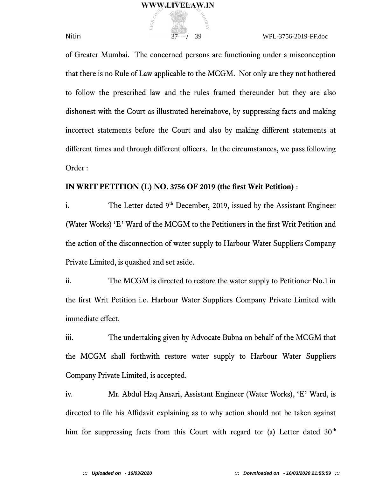**Nitin**  $37 - 39$  **WPL-3756-2019-FF.doc** 

of Greater Mumbai. The concerned persons are functioning under a misconception that there is no Rule of Law applicable to the MCGM. Not only are they not bothered to follow the prescribed law and the rules framed thereunder but they are also dishonest with the Court as illustrated hereinabove, by suppressing facts and making incorrect statements before the Court and also by making diferent statements at different times and through different officers. In the circumstances, we pass following Order :

### **IN WRIT PETITION (L) NO. 3756 OF 2019 (the first Writ Petition)** :

i. The Letter dated 9<sup>th</sup> December, 2019, issued by the Assistant Engineer (Water Works) 'E' Ward of the MCGM to the Petitioners in the first Writ Petition and the action of the disconnection of water supply to Harbour Water Suppliers Company Private Limited, is quashed and set aside.

ii. The MCGM is directed to restore the water supply to Petitioner No.1 in the first Writ Petition i.e. Harbour Water Suppliers Company Private Limited with immediate effect.

iii. The undertaking given by Advocate Bubna on behalf of the MCGM that the MCGM shall forthwith restore water supply to Harbour Water Suppliers Company Private Limited, is accepted.

iv. Mr. Abdul Haq Ansari, Assistant Engineer (Water Works), 'E' Ward, is directed to file his Affidavit explaining as to why action should not be taken against him for suppressing facts from this Court with regard to: (a) Letter dated  $30<sup>th</sup>$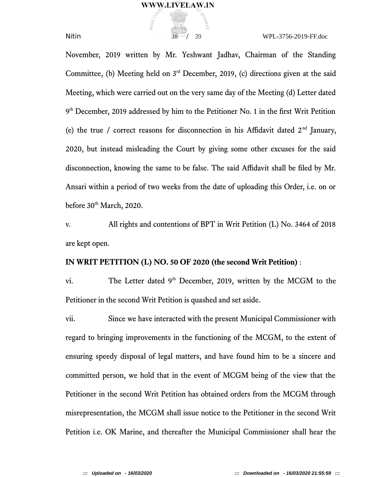$N$ itin  $\frac{38^{\alpha \text{ rad}}}{29}$  39 WPL-3756-2019-FF.doc

November, 2019 written by Mr. Yeshwant Jadhav, Chairman of the Standing Committee, (b) Meeting held on  $3<sup>rd</sup>$  December, 2019, (c) directions given at the said Meeting, which were carried out on the very same day of the Meeting (d) Letter dated 9<sup>th</sup> December, 2019 addressed by him to the Petitioner No. 1 in the first Writ Petition (e) the true / correct reasons for disconnection in his Affidavit dated  $2<sup>nd</sup>$  January, 2020, but instead misleading the Court by giving some other excuses for the said disconnection, knowing the same to be false. The said Affidavit shall be filed by Mr. Ansari within a period of two weeks from the date of uploading this Order, i.e. on or before 30<sup>th</sup> March, 2020.

v. All rights and contentions of BPT in Writ Petition (L) No. 3464 of 2018 are kept open.

### **IN WRIT PETITION (L) NO. 50 OF 2020 (the second Writ Petition)** :

vi. The Letter dated 9<sup>th</sup> December, 2019, written by the MCGM to the Petitioner in the second Writ Petition is quashed and set aside.

vii. Since we have interacted with the present Municipal Commissioner with regard to bringing improvements in the functioning of the MCGM, to the extent of ensuring speedy disposal of legal matters, and have found him to be a sincere and committed person, we hold that in the event of MCGM being of the view that the Petitioner in the second Writ Petition has obtained orders from the MCGM through misrepresentation, the MCGM shall issue notice to the Petitioner in the second Writ Petition i.e. OK Marine, and thereafter the Municipal Commissioner shall hear the